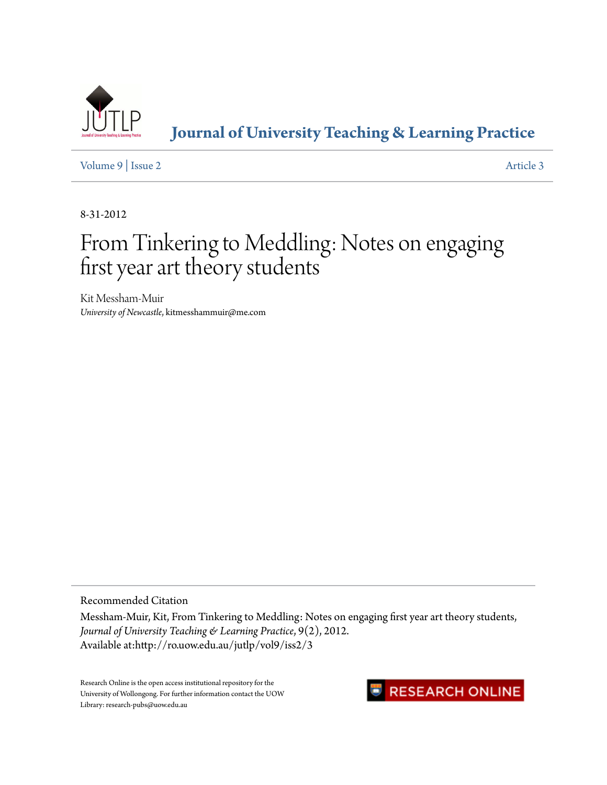

# **[Journal of University Teaching & Learning Practice](http://ro.uow.edu.au/jutlp)**

[Volume 9](http://ro.uow.edu.au/jutlp/vol9) | [Issue 2](http://ro.uow.edu.au/jutlp/vol9/iss2) [Article 3](http://ro.uow.edu.au/jutlp/vol9/iss2/3)

8-31-2012

# From Tinkering to Meddling: Notes on engaging first year art theory students

Kit Messham-Muir *University of Newcastle*, kitmesshammuir@me.com

Recommended Citation

Messham-Muir, Kit, From Tinkering to Meddling: Notes on engaging first year art theory students, *Journal of University Teaching & Learning Practice*, 9(2), 2012. Available at:http://ro.uow.edu.au/jutlp/vol9/iss2/3

Research Online is the open access institutional repository for the University of Wollongong. For further information contact the UOW Library: research-pubs@uow.edu.au

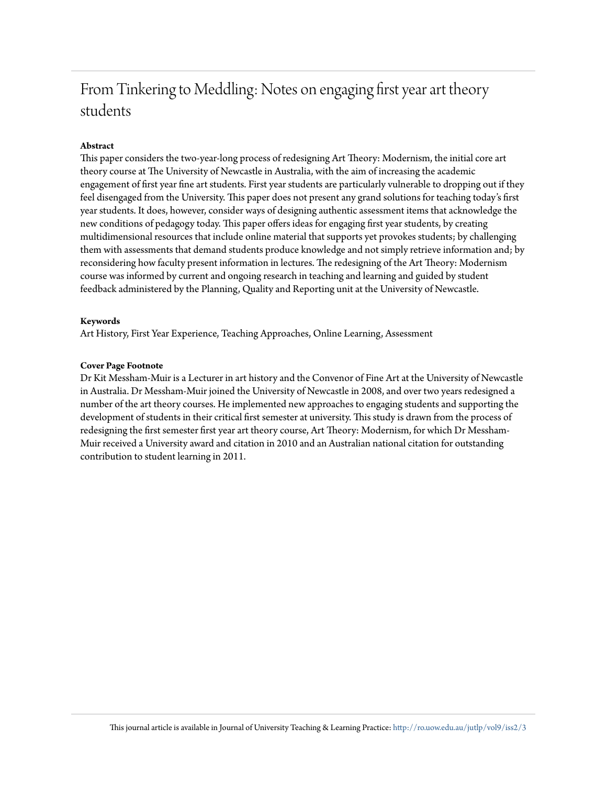# From Tinkering to Meddling: Notes on engaging first year art theory students

#### **Abstract**

This paper considers the two-year-long process of redesigning Art Theory: Modernism, the initial core art theory course at The University of Newcastle in Australia, with the aim of increasing the academic engagement of first year fine art students. First year students are particularly vulnerable to dropping out if they feel disengaged from the University. This paper does not present any grand solutions for teaching today's first year students. It does, however, consider ways of designing authentic assessment items that acknowledge the new conditions of pedagogy today. This paper offers ideas for engaging first year students, by creating multidimensional resources that include online material that supports yet provokes students; by challenging them with assessments that demand students produce knowledge and not simply retrieve information and; by reconsidering how faculty present information in lectures. The redesigning of the Art Theory: Modernism course was informed by current and ongoing research in teaching and learning and guided by student feedback administered by the Planning, Quality and Reporting unit at the University of Newcastle.

#### **Keywords**

Art History, First Year Experience, Teaching Approaches, Online Learning, Assessment

#### **Cover Page Footnote**

Dr Kit Messham-Muir is a Lecturer in art history and the Convenor of Fine Art at the University of Newcastle in Australia. Dr Messham-Muir joined the University of Newcastle in 2008, and over two years redesigned a number of the art theory courses. He implemented new approaches to engaging students and supporting the development of students in their critical first semester at university. This study is drawn from the process of redesigning the first semester first year art theory course, Art Theory: Modernism, for which Dr Messham-Muir received a University award and citation in 2010 and an Australian national citation for outstanding contribution to student learning in 2011.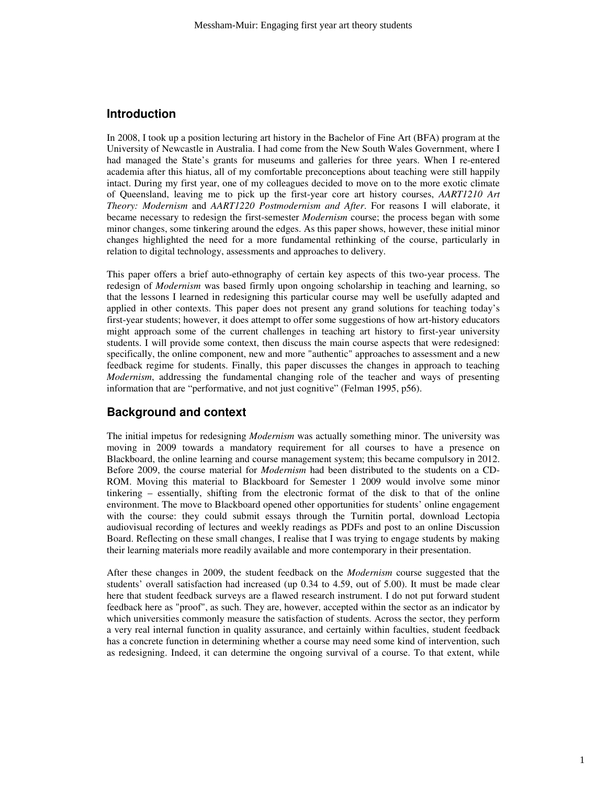#### **Introduction**

In 2008, I took up a position lecturing art history in the Bachelor of Fine Art (BFA) program at the University of Newcastle in Australia. I had come from the New South Wales Government, where I had managed the State's grants for museums and galleries for three years. When I re-entered academia after this hiatus, all of my comfortable preconceptions about teaching were still happily intact. During my first year, one of my colleagues decided to move on to the more exotic climate of Queensland, leaving me to pick up the first-year core art history courses, *AART1210 Art Theory: Modernism* and *AART1220 Postmodernism and After*. For reasons I will elaborate, it became necessary to redesign the first-semester *Modernism* course; the process began with some minor changes, some tinkering around the edges. As this paper shows, however, these initial minor changes highlighted the need for a more fundamental rethinking of the course, particularly in relation to digital technology, assessments and approaches to delivery.

This paper offers a brief auto-ethnography of certain key aspects of this two-year process. The redesign of *Modernism* was based firmly upon ongoing scholarship in teaching and learning, so that the lessons I learned in redesigning this particular course may well be usefully adapted and applied in other contexts. This paper does not present any grand solutions for teaching today's first-year students; however, it does attempt to offer some suggestions of how art-history educators might approach some of the current challenges in teaching art history to first-year university students. I will provide some context, then discuss the main course aspects that were redesigned: specifically, the online component, new and more "authentic" approaches to assessment and a new feedback regime for students. Finally, this paper discusses the changes in approach to teaching *Modernism*, addressing the fundamental changing role of the teacher and ways of presenting information that are "performative, and not just cognitive" (Felman 1995, p56).

# **Background and context**

The initial impetus for redesigning *Modernism* was actually something minor. The university was moving in 2009 towards a mandatory requirement for all courses to have a presence on Blackboard, the online learning and course management system; this became compulsory in 2012. Before 2009, the course material for *Modernism* had been distributed to the students on a CD-ROM. Moving this material to Blackboard for Semester 1 2009 would involve some minor tinkering – essentially, shifting from the electronic format of the disk to that of the online environment. The move to Blackboard opened other opportunities for students' online engagement with the course: they could submit essays through the Turnitin portal, download Lectopia audiovisual recording of lectures and weekly readings as PDFs and post to an online Discussion Board. Reflecting on these small changes, I realise that I was trying to engage students by making their learning materials more readily available and more contemporary in their presentation.

After these changes in 2009, the student feedback on the *Modernism* course suggested that the students' overall satisfaction had increased (up 0.34 to 4.59, out of 5.00). It must be made clear here that student feedback surveys are a flawed research instrument. I do not put forward student feedback here as "proof", as such. They are, however, accepted within the sector as an indicator by which universities commonly measure the satisfaction of students. Across the sector, they perform a very real internal function in quality assurance, and certainly within faculties, student feedback has a concrete function in determining whether a course may need some kind of intervention, such as redesigning. Indeed, it can determine the ongoing survival of a course. To that extent, while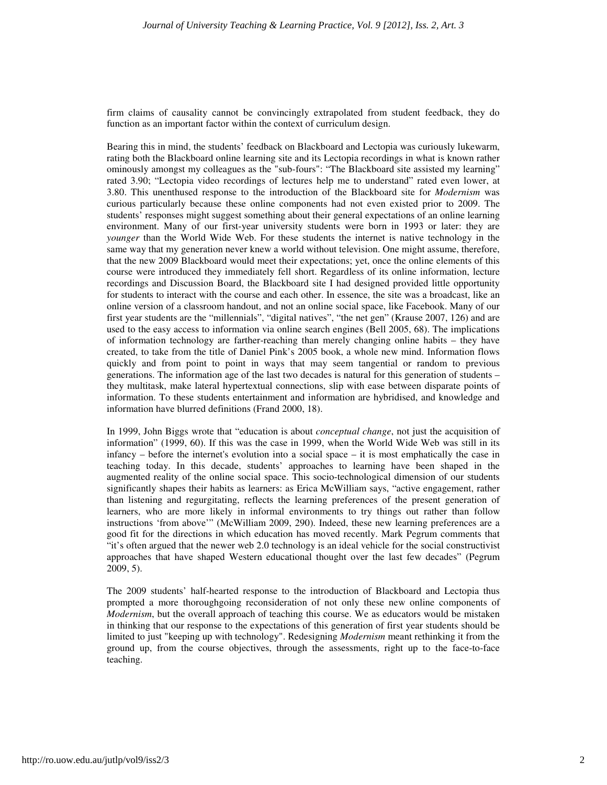firm claims of causality cannot be convincingly extrapolated from student feedback, they do function as an important factor within the context of curriculum design.

Bearing this in mind, the students' feedback on Blackboard and Lectopia was curiously lukewarm, rating both the Blackboard online learning site and its Lectopia recordings in what is known rather ominously amongst my colleagues as the "sub-fours": "The Blackboard site assisted my learning" rated 3.90; "Lectopia video recordings of lectures help me to understand" rated even lower, at 3.80. This unenthused response to the introduction of the Blackboard site for *Modernism* was curious particularly because these online components had not even existed prior to 2009. The students' responses might suggest something about their general expectations of an online learning environment. Many of our first-year university students were born in 1993 or later: they are *younger* than the World Wide Web. For these students the internet is native technology in the same way that my generation never knew a world without television. One might assume, therefore, that the new 2009 Blackboard would meet their expectations; yet, once the online elements of this course were introduced they immediately fell short. Regardless of its online information, lecture recordings and Discussion Board, the Blackboard site I had designed provided little opportunity for students to interact with the course and each other. In essence, the site was a broadcast, like an online version of a classroom handout, and not an online social space, like Facebook. Many of our first year students are the "millennials", "digital natives", "the net gen" (Krause 2007, 126) and are used to the easy access to information via online search engines (Bell 2005, 68). The implications of information technology are farther-reaching than merely changing online habits – they have created, to take from the title of Daniel Pink's 2005 book, a whole new mind. Information flows quickly and from point to point in ways that may seem tangential or random to previous generations. The information age of the last two decades is natural for this generation of students – they multitask, make lateral hypertextual connections, slip with ease between disparate points of information. To these students entertainment and information are hybridised, and knowledge and information have blurred definitions (Frand 2000, 18).

In 1999, John Biggs wrote that "education is about *conceptual change*, not just the acquisition of information" (1999, 60). If this was the case in 1999, when the World Wide Web was still in its infancy – before the internet's evolution into a social space – it is most emphatically the case in teaching today. In this decade, students' approaches to learning have been shaped in the augmented reality of the online social space. This socio-technological dimension of our students significantly shapes their habits as learners: as Erica McWilliam says, "active engagement, rather than listening and regurgitating, reflects the learning preferences of the present generation of learners, who are more likely in informal environments to try things out rather than follow instructions 'from above'" (McWilliam 2009, 290). Indeed, these new learning preferences are a good fit for the directions in which education has moved recently. Mark Pegrum comments that "it's often argued that the newer web 2.0 technology is an ideal vehicle for the social constructivist approaches that have shaped Western educational thought over the last few decades" (Pegrum 2009, 5).

The 2009 students' half-hearted response to the introduction of Blackboard and Lectopia thus prompted a more thoroughgoing reconsideration of not only these new online components of *Modernism*, but the overall approach of teaching this course. We as educators would be mistaken in thinking that our response to the expectations of this generation of first year students should be limited to just "keeping up with technology". Redesigning *Modernism* meant rethinking it from the ground up, from the course objectives, through the assessments, right up to the face-to-face teaching.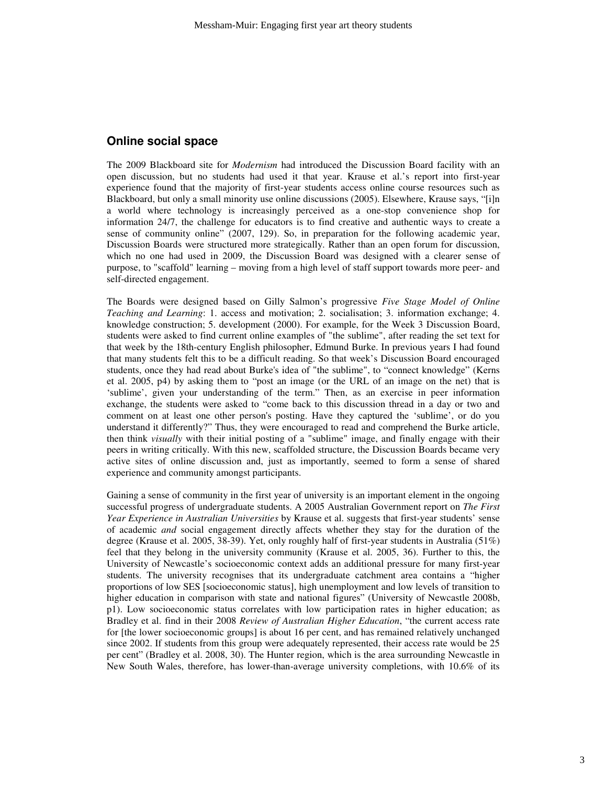#### **Online social space**

The 2009 Blackboard site for *Modernism* had introduced the Discussion Board facility with an open discussion, but no students had used it that year. Krause et al.'s report into first-year experience found that the majority of first-year students access online course resources such as Blackboard, but only a small minority use online discussions (2005). Elsewhere, Krause says, "[i]n a world where technology is increasingly perceived as a one-stop convenience shop for information 24/7, the challenge for educators is to find creative and authentic ways to create a sense of community online" (2007, 129). So, in preparation for the following academic year, Discussion Boards were structured more strategically. Rather than an open forum for discussion, which no one had used in 2009, the Discussion Board was designed with a clearer sense of purpose, to "scaffold" learning – moving from a high level of staff support towards more peer- and self-directed engagement.

The Boards were designed based on Gilly Salmon's progressive *Five Stage Model of Online Teaching and Learning*: 1. access and motivation; 2. socialisation; 3. information exchange; 4. knowledge construction; 5. development (2000). For example, for the Week 3 Discussion Board, students were asked to find current online examples of "the sublime", after reading the set text for that week by the 18th-century English philosopher, Edmund Burke. In previous years I had found that many students felt this to be a difficult reading. So that week's Discussion Board encouraged students, once they had read about Burke's idea of "the sublime", to "connect knowledge" (Kerns et al. 2005, p4) by asking them to "post an image (or the URL of an image on the net) that is 'sublime', given your understanding of the term." Then, as an exercise in peer information exchange, the students were asked to "come back to this discussion thread in a day or two and comment on at least one other person's posting. Have they captured the 'sublime', or do you understand it differently?" Thus, they were encouraged to read and comprehend the Burke article, then think *visually* with their initial posting of a "sublime" image, and finally engage with their peers in writing critically. With this new, scaffolded structure, the Discussion Boards became very active sites of online discussion and, just as importantly, seemed to form a sense of shared experience and community amongst participants.

Gaining a sense of community in the first year of university is an important element in the ongoing successful progress of undergraduate students. A 2005 Australian Government report on *The First Year Experience in Australian Universities* by Krause et al. suggests that first-year students' sense of academic *and* social engagement directly affects whether they stay for the duration of the degree (Krause et al. 2005, 38-39). Yet, only roughly half of first-year students in Australia (51%) feel that they belong in the university community (Krause et al. 2005, 36). Further to this, the University of Newcastle's socioeconomic context adds an additional pressure for many first-year students. The university recognises that its undergraduate catchment area contains a "higher proportions of low SES [socioeconomic status], high unemployment and low levels of transition to higher education in comparison with state and national figures" (University of Newcastle 2008b, p1). Low socioeconomic status correlates with low participation rates in higher education; as Bradley et al. find in their 2008 *Review of Australian Higher Education*, "the current access rate for [the lower socioeconomic groups] is about 16 per cent, and has remained relatively unchanged since 2002. If students from this group were adequately represented, their access rate would be 25 per cent" (Bradley et al. 2008, 30). The Hunter region, which is the area surrounding Newcastle in New South Wales, therefore, has lower-than-average university completions, with 10.6% of its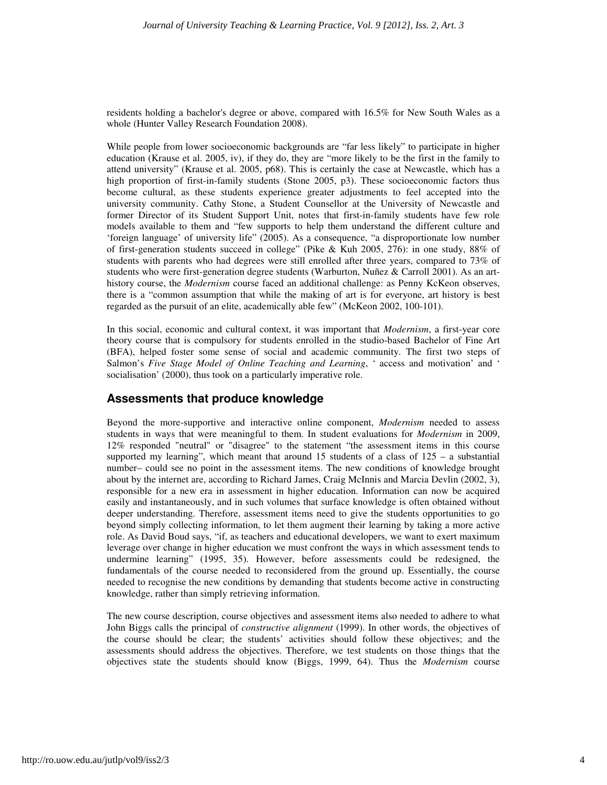residents holding a bachelor's degree or above, compared with 16.5% for New South Wales as a whole (Hunter Valley Research Foundation 2008).

While people from lower socioeconomic backgrounds are "far less likely" to participate in higher education (Krause et al. 2005, iv), if they do, they are "more likely to be the first in the family to attend university" (Krause et al. 2005, p68). This is certainly the case at Newcastle, which has a high proportion of first-in-family students (Stone 2005, p3). These socioeconomic factors thus become cultural, as these students experience greater adjustments to feel accepted into the university community. Cathy Stone, a Student Counsellor at the University of Newcastle and former Director of its Student Support Unit, notes that first-in-family students have few role models available to them and "few supports to help them understand the different culture and 'foreign language' of university life" (2005). As a consequence, "a disproportionate low number of first-generation students succeed in college" (Pike & Kuh 2005, 276): in one study, 88% of students with parents who had degrees were still enrolled after three years, compared to 73% of students who were first-generation degree students (Warburton, Nuñez & Carroll 2001). As an arthistory course, the *Modernism* course faced an additional challenge: as Penny KcKeon observes, there is a "common assumption that while the making of art is for everyone, art history is best regarded as the pursuit of an elite, academically able few" (McKeon 2002, 100-101).

In this social, economic and cultural context, it was important that *Modernism*, a first-year core theory course that is compulsory for students enrolled in the studio-based Bachelor of Fine Art (BFA), helped foster some sense of social and academic community. The first two steps of Salmon's *Five Stage Model of Online Teaching and Learning*, ' access and motivation' and ' socialisation' (2000), thus took on a particularly imperative role.

# **Assessments that produce knowledge**

Beyond the more-supportive and interactive online component, *Modernism* needed to assess students in ways that were meaningful to them. In student evaluations for *Modernism* in 2009, 12% responded "neutral" or "disagree" to the statement "the assessment items in this course supported my learning", which meant that around 15 students of a class of  $125 - a$  substantial number– could see no point in the assessment items. The new conditions of knowledge brought about by the internet are, according to Richard James, Craig McInnis and Marcia Devlin (2002, 3), responsible for a new era in assessment in higher education. Information can now be acquired easily and instantaneously, and in such volumes that surface knowledge is often obtained without deeper understanding. Therefore, assessment items need to give the students opportunities to go beyond simply collecting information, to let them augment their learning by taking a more active role. As David Boud says, "if, as teachers and educational developers, we want to exert maximum leverage over change in higher education we must confront the ways in which assessment tends to undermine learning" (1995, 35). However, before assessments could be redesigned, the fundamentals of the course needed to reconsidered from the ground up. Essentially, the course needed to recognise the new conditions by demanding that students become active in constructing knowledge, rather than simply retrieving information.

The new course description, course objectives and assessment items also needed to adhere to what John Biggs calls the principal of *constructive alignment* (1999). In other words, the objectives of the course should be clear; the students' activities should follow these objectives; and the assessments should address the objectives. Therefore, we test students on those things that the objectives state the students should know (Biggs, 1999, 64). Thus the *Modernism* course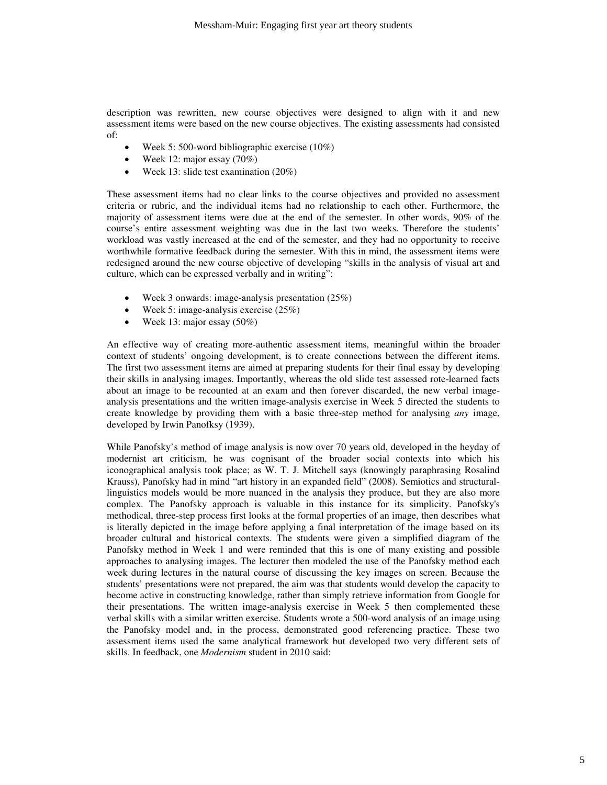description was rewritten, new course objectives were designed to align with it and new assessment items were based on the new course objectives. The existing assessments had consisted of:

- Week 5: 500-word bibliographic exercise (10%)
- Week 12: major essay (70%)
- Week 13: slide test examination (20%)

These assessment items had no clear links to the course objectives and provided no assessment criteria or rubric, and the individual items had no relationship to each other. Furthermore, the majority of assessment items were due at the end of the semester. In other words, 90% of the course's entire assessment weighting was due in the last two weeks. Therefore the students' workload was vastly increased at the end of the semester, and they had no opportunity to receive worthwhile formative feedback during the semester. With this in mind, the assessment items were redesigned around the new course objective of developing "skills in the analysis of visual art and culture, which can be expressed verbally and in writing":

- Week 3 onwards: image-analysis presentation (25%)
- Week 5: image-analysis exercise (25%)
- Week 13: major essay (50%)

An effective way of creating more-authentic assessment items, meaningful within the broader context of students' ongoing development, is to create connections between the different items. The first two assessment items are aimed at preparing students for their final essay by developing their skills in analysing images. Importantly, whereas the old slide test assessed rote-learned facts about an image to be recounted at an exam and then forever discarded, the new verbal imageanalysis presentations and the written image-analysis exercise in Week 5 directed the students to create knowledge by providing them with a basic three-step method for analysing *any* image, developed by Irwin Panofksy (1939).

While Panofsky's method of image analysis is now over 70 years old, developed in the heyday of modernist art criticism, he was cognisant of the broader social contexts into which his iconographical analysis took place; as W. T. J. Mitchell says (knowingly paraphrasing Rosalind Krauss), Panofsky had in mind "art history in an expanded field" (2008). Semiotics and structurallinguistics models would be more nuanced in the analysis they produce, but they are also more complex. The Panofsky approach is valuable in this instance for its simplicity. Panofsky's methodical, three-step process first looks at the formal properties of an image, then describes what is literally depicted in the image before applying a final interpretation of the image based on its broader cultural and historical contexts. The students were given a simplified diagram of the Panofsky method in Week 1 and were reminded that this is one of many existing and possible approaches to analysing images. The lecturer then modeled the use of the Panofsky method each week during lectures in the natural course of discussing the key images on screen. Because the students' presentations were not prepared, the aim was that students would develop the capacity to become active in constructing knowledge, rather than simply retrieve information from Google for their presentations. The written image-analysis exercise in Week 5 then complemented these verbal skills with a similar written exercise. Students wrote a 500-word analysis of an image using the Panofsky model and, in the process, demonstrated good referencing practice. These two assessment items used the same analytical framework but developed two very different sets of skills. In feedback, one *Modernism* student in 2010 said: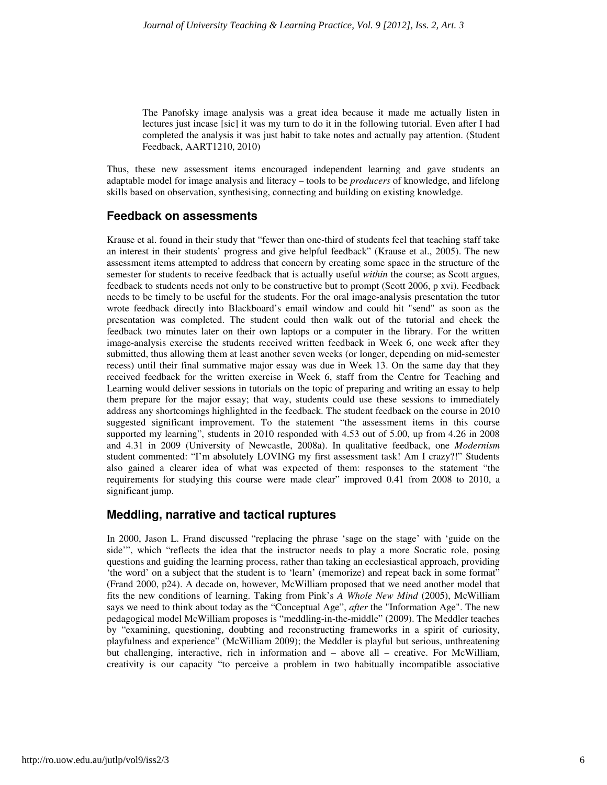The Panofsky image analysis was a great idea because it made me actually listen in lectures just incase [sic] it was my turn to do it in the following tutorial. Even after I had completed the analysis it was just habit to take notes and actually pay attention. (Student Feedback, AART1210, 2010)

Thus, these new assessment items encouraged independent learning and gave students an adaptable model for image analysis and literacy – tools to be *producers* of knowledge, and lifelong skills based on observation, synthesising, connecting and building on existing knowledge.

### **Feedback on assessments**

Krause et al. found in their study that "fewer than one-third of students feel that teaching staff take an interest in their students' progress and give helpful feedback" (Krause et al., 2005). The new assessment items attempted to address that concern by creating some space in the structure of the semester for students to receive feedback that is actually useful *within* the course; as Scott argues, feedback to students needs not only to be constructive but to prompt (Scott 2006, p xvi). Feedback needs to be timely to be useful for the students. For the oral image-analysis presentation the tutor wrote feedback directly into Blackboard's email window and could hit "send" as soon as the presentation was completed. The student could then walk out of the tutorial and check the feedback two minutes later on their own laptops or a computer in the library. For the written image-analysis exercise the students received written feedback in Week 6, one week after they submitted, thus allowing them at least another seven weeks (or longer, depending on mid-semester recess) until their final summative major essay was due in Week 13. On the same day that they received feedback for the written exercise in Week 6, staff from the Centre for Teaching and Learning would deliver sessions in tutorials on the topic of preparing and writing an essay to help them prepare for the major essay; that way, students could use these sessions to immediately address any shortcomings highlighted in the feedback. The student feedback on the course in 2010 suggested significant improvement. To the statement "the assessment items in this course supported my learning", students in 2010 responded with 4.53 out of 5.00, up from 4.26 in 2008 and 4.31 in 2009 (University of Newcastle, 2008a). In qualitative feedback, one *Modernism* student commented: "I'm absolutely LOVING my first assessment task! Am I crazy?!" Students also gained a clearer idea of what was expected of them: responses to the statement "the requirements for studying this course were made clear" improved 0.41 from 2008 to 2010, a significant jump.

# **Meddling, narrative and tactical ruptures**

In 2000, Jason L. Frand discussed "replacing the phrase 'sage on the stage' with 'guide on the side'", which "reflects the idea that the instructor needs to play a more Socratic role, posing questions and guiding the learning process, rather than taking an ecclesiastical approach, providing 'the word' on a subject that the student is to 'learn' (memorize) and repeat back in some format" (Frand 2000, p24). A decade on, however, McWilliam proposed that we need another model that fits the new conditions of learning. Taking from Pink's *A Whole New Mind* (2005), McWilliam says we need to think about today as the "Conceptual Age", *after* the "Information Age". The new pedagogical model McWilliam proposes is "meddling-in-the-middle" (2009). The Meddler teaches by "examining, questioning, doubting and reconstructing frameworks in a spirit of curiosity, playfulness and experience" (McWilliam 2009); the Meddler is playful but serious, unthreatening but challenging, interactive, rich in information and – above all – creative. For McWilliam, creativity is our capacity "to perceive a problem in two habitually incompatible associative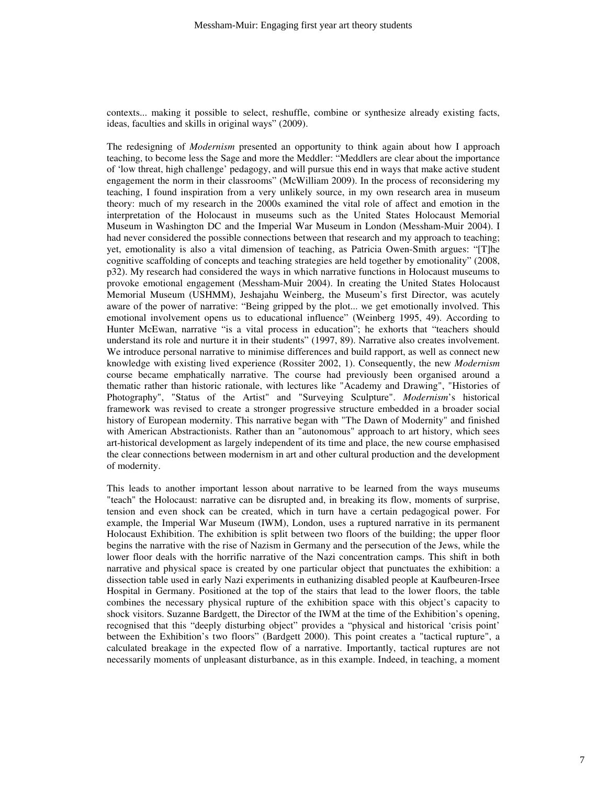contexts... making it possible to select, reshuffle, combine or synthesize already existing facts, ideas, faculties and skills in original ways" (2009).

The redesigning of *Modernism* presented an opportunity to think again about how I approach teaching, to become less the Sage and more the Meddler: "Meddlers are clear about the importance of 'low threat, high challenge' pedagogy, and will pursue this end in ways that make active student engagement the norm in their classrooms" (McWilliam 2009). In the process of reconsidering my teaching, I found inspiration from a very unlikely source, in my own research area in museum theory: much of my research in the 2000s examined the vital role of affect and emotion in the interpretation of the Holocaust in museums such as the United States Holocaust Memorial Museum in Washington DC and the Imperial War Museum in London (Messham-Muir 2004). I had never considered the possible connections between that research and my approach to teaching; yet, emotionality is also a vital dimension of teaching, as Patricia Owen-Smith argues: "[T]he cognitive scaffolding of concepts and teaching strategies are held together by emotionality" (2008, p32). My research had considered the ways in which narrative functions in Holocaust museums to provoke emotional engagement (Messham-Muir 2004). In creating the United States Holocaust Memorial Museum (USHMM), Jeshajahu Weinberg, the Museum's first Director, was acutely aware of the power of narrative: "Being gripped by the plot... we get emotionally involved. This emotional involvement opens us to educational influence" (Weinberg 1995, 49). According to Hunter McEwan, narrative "is a vital process in education"; he exhorts that "teachers should understand its role and nurture it in their students" (1997, 89). Narrative also creates involvement. We introduce personal narrative to minimise differences and build rapport, as well as connect new knowledge with existing lived experience (Rossiter 2002, 1). Consequently, the new *Modernism* course became emphatically narrative. The course had previously been organised around a thematic rather than historic rationale, with lectures like "Academy and Drawing", "Histories of Photography", "Status of the Artist" and "Surveying Sculpture". *Modernism*'s historical framework was revised to create a stronger progressive structure embedded in a broader social history of European modernity. This narrative began with "The Dawn of Modernity" and finished with American Abstractionists. Rather than an "autonomous" approach to art history, which sees art-historical development as largely independent of its time and place, the new course emphasised the clear connections between modernism in art and other cultural production and the development of modernity.

This leads to another important lesson about narrative to be learned from the ways museums "teach" the Holocaust: narrative can be disrupted and, in breaking its flow, moments of surprise, tension and even shock can be created, which in turn have a certain pedagogical power. For example, the Imperial War Museum (IWM), London, uses a ruptured narrative in its permanent Holocaust Exhibition. The exhibition is split between two floors of the building; the upper floor begins the narrative with the rise of Nazism in Germany and the persecution of the Jews, while the lower floor deals with the horrific narrative of the Nazi concentration camps. This shift in both narrative and physical space is created by one particular object that punctuates the exhibition: a dissection table used in early Nazi experiments in euthanizing disabled people at Kaufbeuren-Irsee Hospital in Germany. Positioned at the top of the stairs that lead to the lower floors, the table combines the necessary physical rupture of the exhibition space with this object's capacity to shock visitors. Suzanne Bardgett, the Director of the IWM at the time of the Exhibition's opening, recognised that this "deeply disturbing object" provides a "physical and historical 'crisis point' between the Exhibition's two floors" (Bardgett 2000). This point creates a "tactical rupture", a calculated breakage in the expected flow of a narrative. Importantly, tactical ruptures are not necessarily moments of unpleasant disturbance, as in this example. Indeed, in teaching, a moment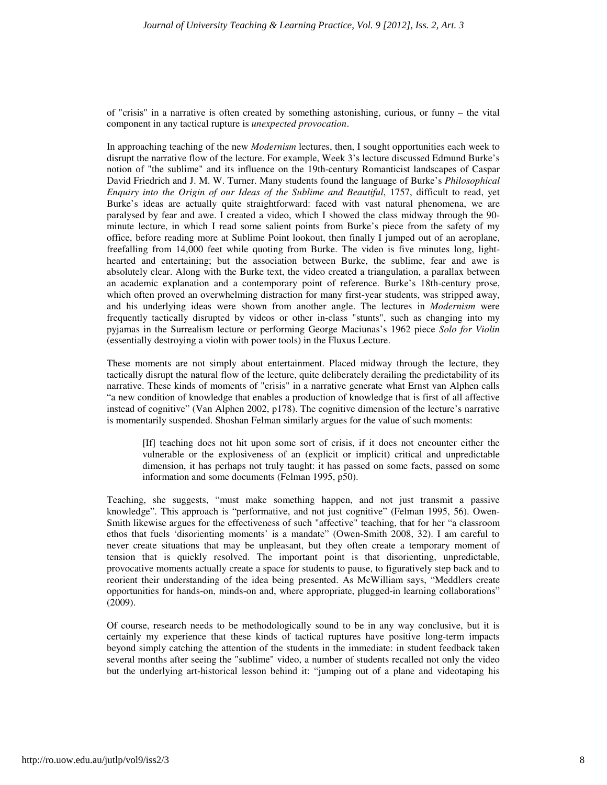of "crisis" in a narrative is often created by something astonishing, curious, or funny – the vital component in any tactical rupture is *unexpected provocation*.

In approaching teaching of the new *Modernism* lectures, then, I sought opportunities each week to disrupt the narrative flow of the lecture. For example, Week 3's lecture discussed Edmund Burke's notion of "the sublime" and its influence on the 19th-century Romanticist landscapes of Caspar David Friedrich and J. M. W. Turner. Many students found the language of Burke's *Philosophical Enquiry into the Origin of our Ideas of the Sublime and Beautiful*, 1757, difficult to read, yet Burke's ideas are actually quite straightforward: faced with vast natural phenomena, we are paralysed by fear and awe. I created a video, which I showed the class midway through the 90 minute lecture, in which I read some salient points from Burke's piece from the safety of my office, before reading more at Sublime Point lookout, then finally I jumped out of an aeroplane, freefalling from 14,000 feet while quoting from Burke. The video is five minutes long, lighthearted and entertaining; but the association between Burke, the sublime, fear and awe is absolutely clear. Along with the Burke text, the video created a triangulation, a parallax between an academic explanation and a contemporary point of reference. Burke's 18th-century prose, which often proved an overwhelming distraction for many first-year students, was stripped away, and his underlying ideas were shown from another angle. The lectures in *Modernism* were frequently tactically disrupted by videos or other in-class "stunts", such as changing into my pyjamas in the Surrealism lecture or performing George Maciunas's 1962 piece *Solo for Violin* (essentially destroying a violin with power tools) in the Fluxus Lecture.

These moments are not simply about entertainment. Placed midway through the lecture, they tactically disrupt the natural flow of the lecture, quite deliberately derailing the predictability of its narrative. These kinds of moments of "crisis" in a narrative generate what Ernst van Alphen calls "a new condition of knowledge that enables a production of knowledge that is first of all affective instead of cognitive" (Van Alphen 2002, p178). The cognitive dimension of the lecture's narrative is momentarily suspended. Shoshan Felman similarly argues for the value of such moments:

[If] teaching does not hit upon some sort of crisis, if it does not encounter either the vulnerable or the explosiveness of an (explicit or implicit) critical and unpredictable dimension, it has perhaps not truly taught: it has passed on some facts, passed on some information and some documents (Felman 1995, p50).

Teaching, she suggests, "must make something happen, and not just transmit a passive knowledge". This approach is "performative, and not just cognitive" (Felman 1995, 56). Owen-Smith likewise argues for the effectiveness of such "affective" teaching, that for her "a classroom ethos that fuels 'disorienting moments' is a mandate" (Owen-Smith 2008, 32). I am careful to never create situations that may be unpleasant, but they often create a temporary moment of tension that is quickly resolved. The important point is that disorienting, unpredictable, provocative moments actually create a space for students to pause, to figuratively step back and to reorient their understanding of the idea being presented. As McWilliam says, "Meddlers create opportunities for hands-on, minds-on and, where appropriate, plugged-in learning collaborations" (2009).

Of course, research needs to be methodologically sound to be in any way conclusive, but it is certainly my experience that these kinds of tactical ruptures have positive long-term impacts beyond simply catching the attention of the students in the immediate: in student feedback taken several months after seeing the "sublime" video, a number of students recalled not only the video but the underlying art-historical lesson behind it: "jumping out of a plane and videotaping his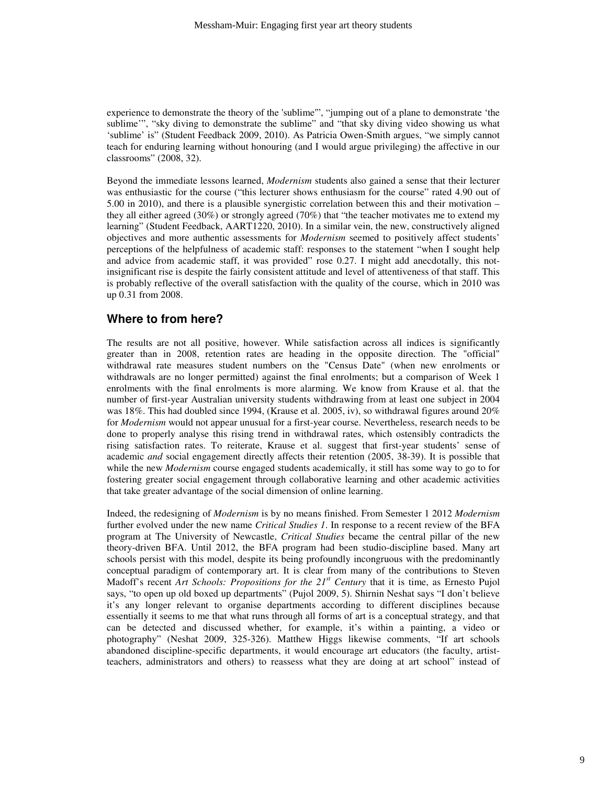experience to demonstrate the theory of the 'sublime'", "jumping out of a plane to demonstrate 'the sublime'", "sky diving to demonstrate the sublime" and "that sky diving video showing us what 'sublime' is" (Student Feedback 2009, 2010). As Patricia Owen-Smith argues, "we simply cannot teach for enduring learning without honouring (and I would argue privileging) the affective in our classrooms" (2008, 32).

Beyond the immediate lessons learned, *Modernism* students also gained a sense that their lecturer was enthusiastic for the course ("this lecturer shows enthusiasm for the course" rated 4.90 out of 5.00 in 2010), and there is a plausible synergistic correlation between this and their motivation – they all either agreed (30%) or strongly agreed (70%) that "the teacher motivates me to extend my learning" (Student Feedback, AART1220, 2010). In a similar vein, the new, constructively aligned objectives and more authentic assessments for *Modernism* seemed to positively affect students' perceptions of the helpfulness of academic staff: responses to the statement "when I sought help and advice from academic staff, it was provided" rose 0.27. I might add anecdotally, this notinsignificant rise is despite the fairly consistent attitude and level of attentiveness of that staff. This is probably reflective of the overall satisfaction with the quality of the course, which in 2010 was up 0.31 from 2008.

### **Where to from here?**

The results are not all positive, however. While satisfaction across all indices is significantly greater than in 2008, retention rates are heading in the opposite direction. The "official" withdrawal rate measures student numbers on the "Census Date" (when new enrolments or withdrawals are no longer permitted) against the final enrolments; but a comparison of Week 1 enrolments with the final enrolments is more alarming. We know from Krause et al. that the number of first-year Australian university students withdrawing from at least one subject in 2004 was 18%. This had doubled since 1994, (Krause et al. 2005, iv), so withdrawal figures around 20% for *Modernism* would not appear unusual for a first-year course. Nevertheless, research needs to be done to properly analyse this rising trend in withdrawal rates, which ostensibly contradicts the rising satisfaction rates. To reiterate, Krause et al. suggest that first-year students' sense of academic *and* social engagement directly affects their retention (2005, 38-39). It is possible that while the new *Modernism* course engaged students academically, it still has some way to go to for fostering greater social engagement through collaborative learning and other academic activities that take greater advantage of the social dimension of online learning.

Indeed, the redesigning of *Modernism* is by no means finished. From Semester 1 2012 *Modernism* further evolved under the new name *Critical Studies 1*. In response to a recent review of the BFA program at The University of Newcastle, *Critical Studies* became the central pillar of the new theory-driven BFA. Until 2012, the BFA program had been studio-discipline based. Many art schools persist with this model, despite its being profoundly incongruous with the predominantly conceptual paradigm of contemporary art. It is clear from many of the contributions to Steven Madoff's recent *Art Schools: Propositions for the 21st Century* that it is time, as Ernesto Pujol says, "to open up old boxed up departments" (Pujol 2009, 5). Shirnin Neshat says "I don't believe it's any longer relevant to organise departments according to different disciplines because essentially it seems to me that what runs through all forms of art is a conceptual strategy, and that can be detected and discussed whether, for example, it's within a painting, a video or photography" (Neshat 2009, 325-326). Matthew Higgs likewise comments, "If art schools abandoned discipline-specific departments, it would encourage art educators (the faculty, artistteachers, administrators and others) to reassess what they are doing at art school" instead of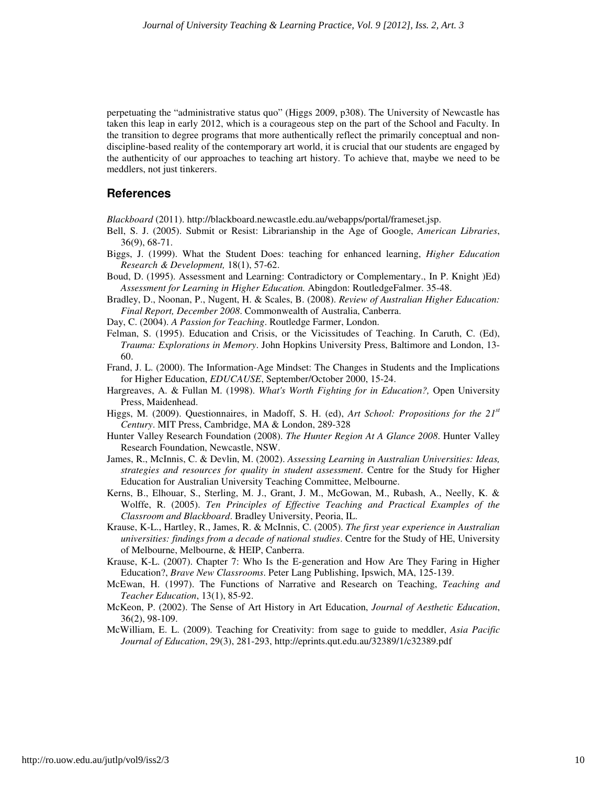perpetuating the "administrative status quo" (Higgs 2009, p308). The University of Newcastle has taken this leap in early 2012, which is a courageous step on the part of the School and Faculty. In the transition to degree programs that more authentically reflect the primarily conceptual and nondiscipline-based reality of the contemporary art world, it is crucial that our students are engaged by the authenticity of our approaches to teaching art history. To achieve that, maybe we need to be meddlers, not just tinkerers.

#### **References**

*Blackboard* (2011). http://blackboard.newcastle.edu.au/webapps/portal/frameset.jsp.

- Bell, S. J. (2005). Submit or Resist: Librarianship in the Age of Google, *American Libraries*, 36(9), 68-71.
- Biggs, J. (1999). What the Student Does: teaching for enhanced learning, *Higher Education Research & Development,* 18(1), 57-62.
- Boud, D. (1995). Assessment and Learning: Contradictory or Complementary., In P. Knight )Ed) *Assessment for Learning in Higher Education.* Abingdon: RoutledgeFalmer. 35-48.
- Bradley, D., Noonan, P., Nugent, H. & Scales, B. (2008). *Review of Australian Higher Education: Final Report, December 2008*. Commonwealth of Australia, Canberra.
- Day, C. (2004). *A Passion for Teaching*. Routledge Farmer, London.
- Felman, S. (1995). Education and Crisis, or the Vicissitudes of Teaching. In Caruth, C. (Ed), *Trauma: Explorations in Memory*. John Hopkins University Press, Baltimore and London, 13- 60.
- Frand, J. L. (2000). The Information-Age Mindset: The Changes in Students and the Implications for Higher Education, *EDUCAUSE*, September/October 2000, 15-24.
- Hargreaves, A. & Fullan M. (1998). *What's Worth Fighting for in Education?,* Open University Press, Maidenhead.
- Higgs, M. (2009). Questionnaires, in Madoff, S. H. (ed), *Art School: Propositions for the 21st Century*. MIT Press, Cambridge, MA & London, 289-328
- Hunter Valley Research Foundation (2008). *The Hunter Region At A Glance 2008*. Hunter Valley Research Foundation, Newcastle, NSW.
- James, R., McInnis, C. & Devlin, M. (2002). *Assessing Learning in Australian Universities: Ideas, strategies and resources for quality in student assessment*. Centre for the Study for Higher Education for Australian University Teaching Committee, Melbourne.
- Kerns, B., Elhouar, S., Sterling, M. J., Grant, J. M., McGowan, M., Rubash, A., Neelly, K. & Wolffe, R. (2005). *Ten Principles of Effective Teaching and Practical Examples of the Classroom and Blackboard*. Bradley University, Peoria, IL.
- Krause, K-L., Hartley, R., James, R. & McInnis, C. (2005). *The first year experience in Australian universities: findings from a decade of national studies*. Centre for the Study of HE, University of Melbourne, Melbourne, & HEIP, Canberra.
- Krause, K-L. (2007). Chapter 7: Who Is the E-generation and How Are They Faring in Higher Education?, *Brave New Classrooms*. Peter Lang Publishing, Ipswich, MA, 125-139.
- McEwan, H. (1997). The Functions of Narrative and Research on Teaching, *Teaching and Teacher Education*, 13(1), 85-92.
- McKeon, P. (2002). The Sense of Art History in Art Education, *Journal of Aesthetic Education*, 36(2), 98-109.
- McWilliam, E. L. (2009). Teaching for Creativity: from sage to guide to meddler, *Asia Pacific Journal of Education*, 29(3), 281-293, http://eprints.qut.edu.au/32389/1/c32389.pdf